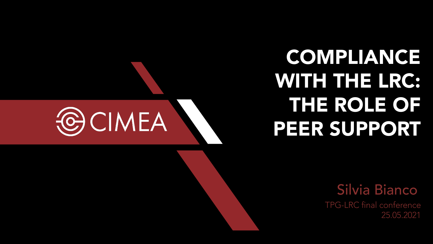## COMPLIANCE WITH THE LRC: THE ROLE OF PEER SUPPORT

Silvia Bianco

TPG-LRC final conference 25.05.2021

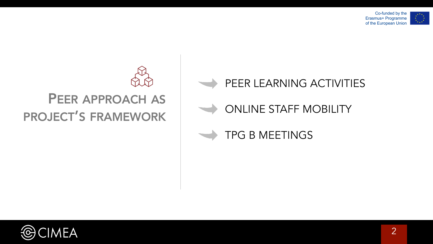



## PEER LEARNING ACTIVITIES

## ONLINE STAFF MOBILITY

## TPG B MEETINGS

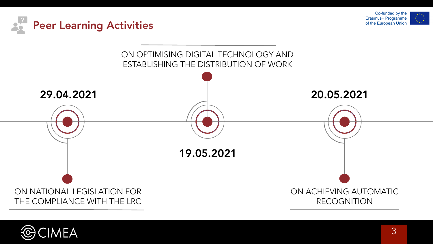





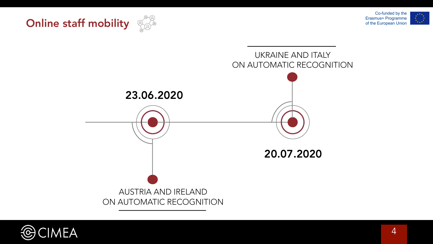